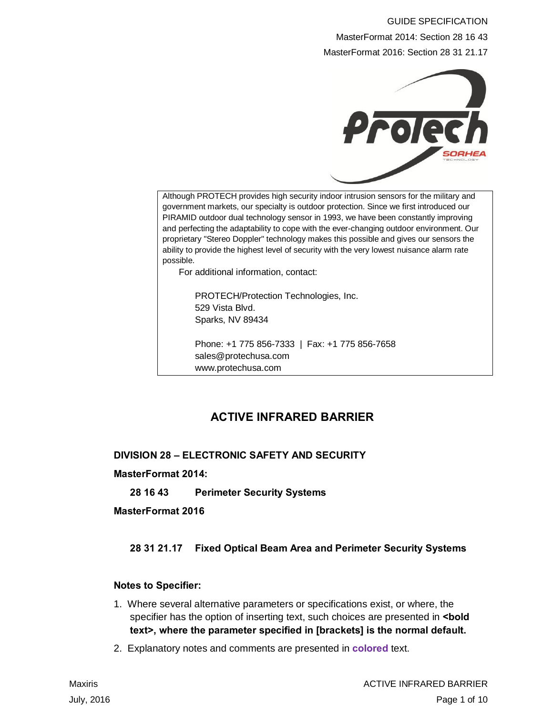# GUIDE SPECIFICATION MasterFormat 2014: Section 28 16 43 MasterFormat 2016: Section 28 31 21.17



Although PROTECH provides high security indoor intrusion sensors for the military and government markets, our specialty is outdoor protection. Since we first introduced our PIRAMID outdoor dual technology sensor in 1993, we have been constantly improving and perfecting the adaptability to cope with the ever-changing outdoor environment. Our proprietary "Stereo Doppler" technology makes this possible and gives our sensors the ability to provide the highest level of security with the very lowest nuisance alarm rate possible.

For additional information, contact:

PROTECH/Protection Technologies, Inc. 529 Vista Blvd. Sparks, NV 89434

Phone: +1 775 856-7333 | Fax: +1 775 856-7658 sales@protechusa.com www.protechusa.com

# **ACTIVE INFRARED BARRIER**

**DIVISION 28 – ELECTRONIC SAFETY AND SECURITY**

**MasterFormat 2014:**

**28 16 43 Perimeter Security Systems**

**MasterFormat 2016**

## **28 31 21.17 Fixed Optical Beam Area and Perimeter Security Systems**

#### **Notes to Specifier:**

- 1. Where several alternative parameters or specifications exist, or where, the specifier has the option of inserting text, such choices are presented in **<br/>bold text>, where the parameter specified in [brackets] is the normal default.**
- 2. Explanatory notes and comments are presented in **colored** text.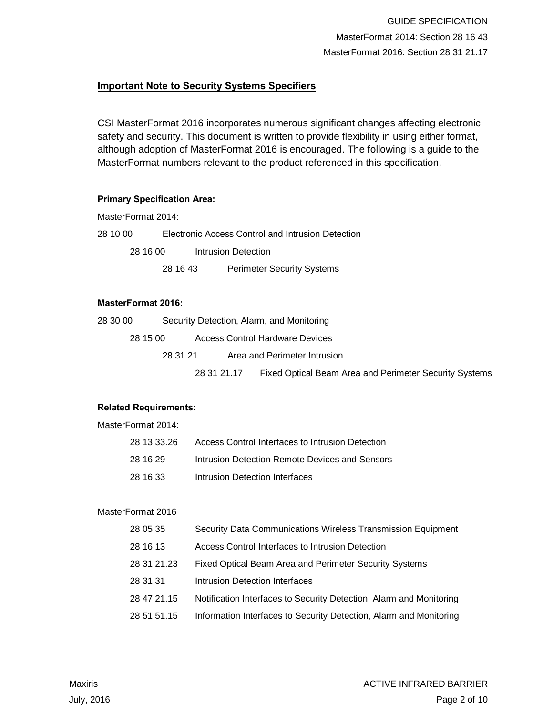## **Important Note to Security Systems Specifiers**

CSI MasterFormat 2016 incorporates numerous significant changes affecting electronic safety and security. This document is written to provide flexibility in using either format, although adoption of MasterFormat 2016 is encouraged. The following is a guide to the MasterFormat numbers relevant to the product referenced in this specification.

#### **Primary Specification Area:**

MasterFormat 2014:

28 10 00 Electronic Access Control and Intrusion Detection 28 16 00 Intrusion Detection 28 16 43 Perimeter Security Systems

#### **MasterFormat 2016:**

| 28 30 00 |          |             | Security Detection, Alarm, and Monitoring                     |
|----------|----------|-------------|---------------------------------------------------------------|
| 28 15 00 |          |             | <b>Access Control Hardware Devices</b>                        |
|          | 28 31 21 |             | Area and Perimeter Intrusion                                  |
|          |          | 28 31 21 17 | <b>Fixed Optical Beam Area and Perimeter Security Systems</b> |

#### **Related Requirements:**

MasterFormat 2014:

| 28 13 33.26 | Access Control Interfaces to Intrusion Detection |
|-------------|--------------------------------------------------|
| 28 16 29    | Intrusion Detection Remote Devices and Sensors   |
| 28 16 33    | Intrusion Detection Interfaces                   |

#### MasterFormat 2016

| 28 05 35    | Security Data Communications Wireless Transmission Equipment        |
|-------------|---------------------------------------------------------------------|
| 28 16 13    | Access Control Interfaces to Intrusion Detection                    |
| 28 31 21.23 | <b>Fixed Optical Beam Area and Perimeter Security Systems</b>       |
| 28 31 31    | Intrusion Detection Interfaces                                      |
| 28 47 21.15 | Notification Interfaces to Security Detection, Alarm and Monitoring |
| 28 51 51 15 | Information Interfaces to Security Detection, Alarm and Monitoring  |
|             |                                                                     |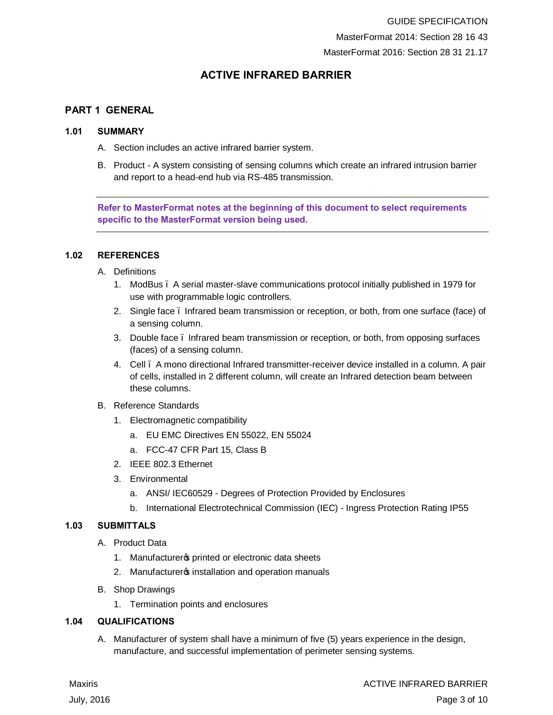## **ACTIVE INFRARED BARRIER**

#### **PART 1 GENERAL**

#### **1.01 SUMMARY**

- A. Section includes an active infrared barrier system.
- B. Product A system consisting of sensing columns which create an infrared intrusion barrier and report to a head-end hub via RS-485 transmission.

**Refer to MasterFormat notes at the beginning of this document to select requirements specific to the MasterFormat version being used.**

#### **1.02 REFERENCES**

- A. Definitions
	- 1. ModBus A serial master-slave communications protocol initially published in 1979 for use with programmable logic controllers.
	- 2. Single face Infrared beam transmission or reception, or both, from one surface (face) of a sensing column.
	- 3. Double face Infrared beam transmission or reception, or both, from opposing surfaces (faces) of a sensing column.
	- 4. Cell A mono directional Infrared transmitter-receiver device installed in a column. A pair of cells, installed in 2 different column, will create an Infrared detection beam between these columns.
- B. Reference Standards
	- 1. Electromagnetic compatibility
		- a. EU EMC Directives EN 55022, EN 55024
		- a. FCC-47 CFR Part 15, Class B
	- 2. IEEE 802.3 Ethernet
	- 3. Environmental
		- a. ANSI/ IEC60529 Degrees of Protection Provided by Enclosures
		- b. International Electrotechnical Commission (IEC) Ingress Protection Rating IP55

#### **1.03 SUBMITTALS**

- A. Product Data
	- 1. Manufacturers printed or electronic data sheets
	- 2. Manufacturers installation and operation manuals
- B. Shop Drawings
	- 1. Termination points and enclosures

#### **1.04 QUALIFICATIONS**

A. Manufacturer of system shall have a minimum of five (5) years experience in the design, manufacture, and successful implementation of perimeter sensing systems.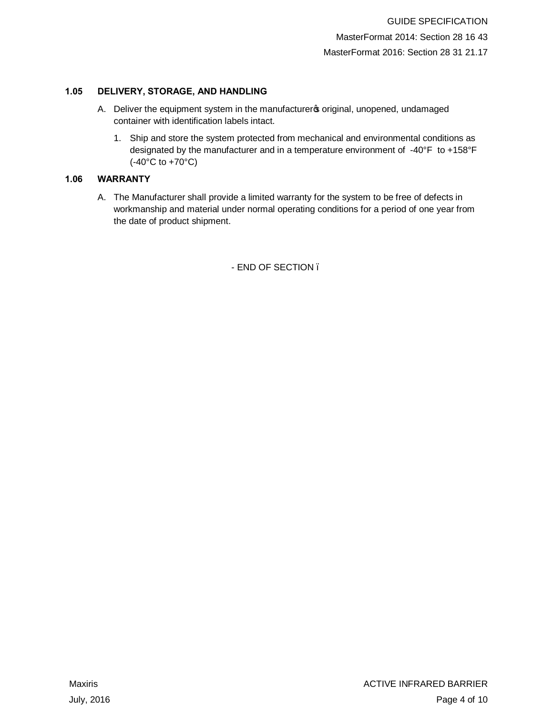#### **1.05 DELIVERY, STORAGE, AND HANDLING**

- A. Deliver the equipment system in the manufacturers original, unopened, undamaged container with identification labels intact.
	- 1. Ship and store the system protected from mechanical and environmental conditions as designated by the manufacturer and in a temperature environment of -40°F to +158°F (-40°C to +70°C)

#### **1.06 WARRANTY**

A. The Manufacturer shall provide a limited warranty for the system to be free of defects in workmanship and material under normal operating conditions for a period of one year from the date of product shipment.

- END OF SECTION –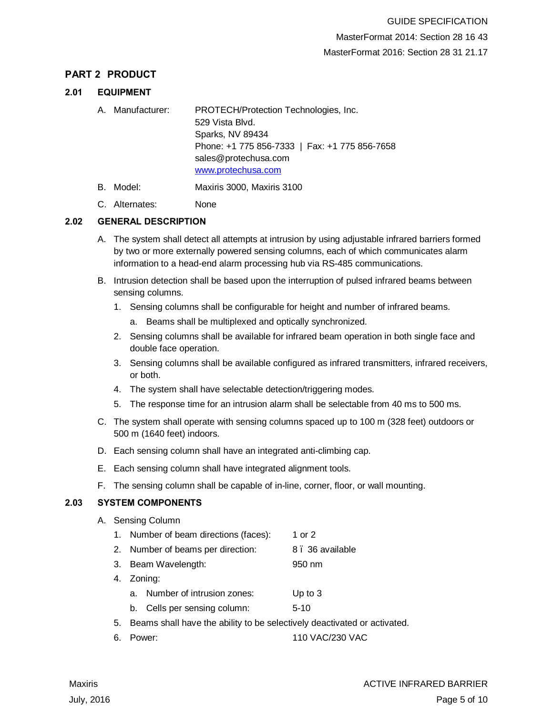## **PART 2 PRODUCT**

#### **2.01 EQUIPMENT**

- A. Manufacturer: PROTECH/Protection Technologies, Inc. 529 Vista Blvd. Sparks, NV 89434 Phone: +1 775 856-7333 | Fax: +1 775 856-7658 sales@protechusa.com www.protechusa.com
- B. Model: Maxiris 3000, Maxiris 3100
- C. Alternates: None

## **2.02 GENERAL DESCRIPTION**

- A. The system shall detect all attempts at intrusion by using adjustable infrared barriers formed by two or more externally powered sensing columns, each of which communicates alarm information to a head-end alarm processing hub via RS-485 communications.
- B. Intrusion detection shall be based upon the interruption of pulsed infrared beams between sensing columns.
	- 1. Sensing columns shall be configurable for height and number of infrared beams.
		- a. Beams shall be multiplexed and optically synchronized.
	- 2. Sensing columns shall be available for infrared beam operation in both single face and double face operation.
	- 3. Sensing columns shall be available configured as infrared transmitters, infrared receivers, or both.
	- 4. The system shall have selectable detection/triggering modes.
	- 5. The response time for an intrusion alarm shall be selectable from 40 ms to 500 ms.
- C. The system shall operate with sensing columns spaced up to 100 m (328 feet) outdoors or 500 m (1640 feet) indoors.
- D. Each sensing column shall have an integrated anti-climbing cap.
- E. Each sensing column shall have integrated alignment tools.
- F. The sensing column shall be capable of in-line, corner, floor, or wall mounting.

## **2.03 SYSTEM COMPONENTS**

- A. Sensing Column
	- 1. Number of beam directions (faces): 1 or 2
	- 2. Number of beams per direction: 8. 36 available
	- 3. Beam Wavelength: 950 nm
	- 4. Zoning:
		- a. Number of intrusion zones: Up to 3
		- b. Cells per sensing column: 5-10
	- 5. Beams shall have the ability to be selectively deactivated or activated.
	- 6. Power: 110 VAC/230 VAC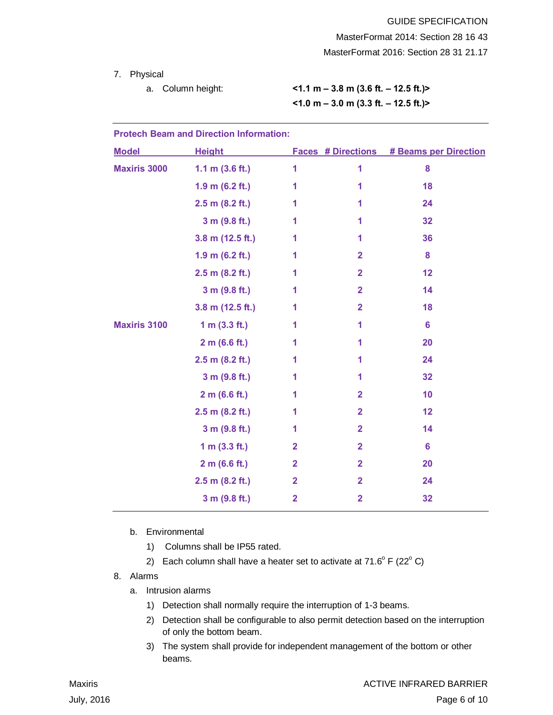7. Physical

a. Column height: **<1.1 m – 3.8 m (3.6 ft. – 12.5 ft.)> <1.0 m – 3.0 m (3.3 ft. – 12.5 ft.)>**

| <b>Protech Beam and Direction Information:</b> |                    |                         |                           |                              |  |  |  |  |
|------------------------------------------------|--------------------|-------------------------|---------------------------|------------------------------|--|--|--|--|
| <b>Model</b>                                   | <b>Height</b>      |                         | <b>Faces # Directions</b> | <b># Beams per Direction</b> |  |  |  |  |
| <b>Maxiris 3000</b>                            | 1.1 m $(3.6 ft.)$  | 1                       | 1                         | 8                            |  |  |  |  |
|                                                | 1.9 m $(6.2 ft.)$  | 1                       | 1                         | 18                           |  |  |  |  |
|                                                | $2.5$ m (8.2 ft.)  | 1                       | 1                         | 24                           |  |  |  |  |
|                                                | 3 m (9.8 ft.)      | 1                       | 1                         | 32                           |  |  |  |  |
|                                                | $3.8$ m (12.5 ft.) | 1                       | 1                         | 36                           |  |  |  |  |
|                                                | 1.9 m $(6.2 ft.)$  | 1                       | $\mathbf{2}$              | 8                            |  |  |  |  |
|                                                | $2.5$ m (8.2 ft.)  | 1                       | $\overline{2}$            | 12                           |  |  |  |  |
|                                                | 3 m (9.8 ft.)      | 1                       | $\overline{2}$            | 14                           |  |  |  |  |
|                                                | $3.8$ m (12.5 ft.) | 1                       | $\overline{2}$            | 18                           |  |  |  |  |
| <b>Maxiris 3100</b>                            | 1 m $(3.3 ft.)$    | 1                       | 1                         | $6\phantom{1}6$              |  |  |  |  |
|                                                | 2 m (6.6 ft.)      | 1                       | 1                         | 20                           |  |  |  |  |
|                                                | $2.5$ m (8.2 ft.)  | 1                       | 1                         | 24                           |  |  |  |  |
|                                                | 3 m (9.8 ft.)      | 1                       | 1                         | 32                           |  |  |  |  |
|                                                | 2 m (6.6 ft.)      | 1                       | $\overline{2}$            | 10                           |  |  |  |  |
|                                                | 2.5 m (8.2 ft.)    | 1                       | $\overline{2}$            | 12                           |  |  |  |  |
|                                                | 3 m (9.8 ft.)      | 1                       | $\overline{2}$            | 14                           |  |  |  |  |
|                                                | 1 m $(3.3 ft.)$    | $\mathbf{2}$            | $\overline{2}$            | $6\phantom{1}6$              |  |  |  |  |
|                                                | 2 m (6.6 ft.)      | $\overline{2}$          | $\overline{2}$            | 20                           |  |  |  |  |
|                                                | $2.5$ m (8.2 ft.)  | $\overline{\mathbf{2}}$ | $\overline{2}$            | 24                           |  |  |  |  |
|                                                | 3 m (9.8 ft.)      | $\overline{2}$          | $\overline{2}$            | 32                           |  |  |  |  |

- b. Environmental
	- 1) Columns shall be IP55 rated.
	- 2) Each column shall have a heater set to activate at  $71.6^{\circ}$  F (22 $^{\circ}$  C)
- 8. Alarms
	- a. Intrusion alarms
		- 1) Detection shall normally require the interruption of 1-3 beams.
		- 2) Detection shall be configurable to also permit detection based on the interruption of only the bottom beam.
		- 3) The system shall provide for independent management of the bottom or other beams.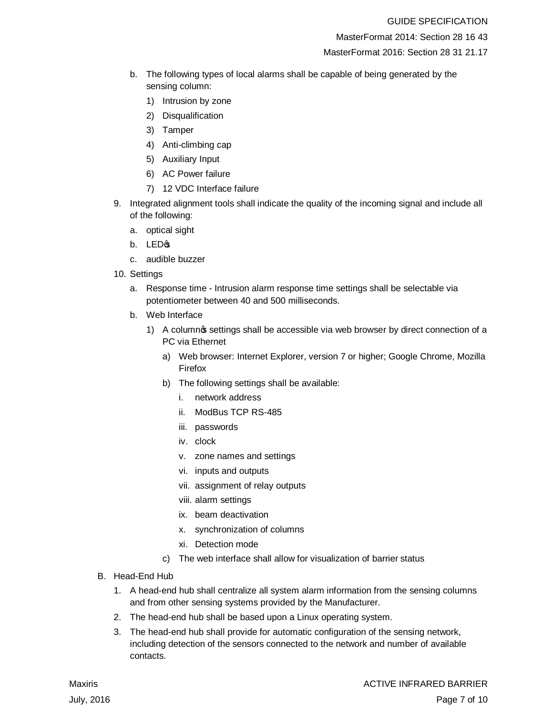MasterFormat 2014: Section 28 16 43

MasterFormat 2016: Section 28 31 21.17

- b. The following types of local alarms shall be capable of being generated by the sensing column:
	- 1) Intrusion by zone
	- 2) Disqualification
	- 3) Tamper
	- 4) Anti-climbing cap
	- 5) Auxiliary Input
	- 6) AC Power failure
	- 7) 12 VDC Interface failure
- 9. Integrated alignment tools shall indicate the quality of the incoming signal and include all of the following:
	- a. optical sight
	- $b.$  LED $\circ$
	- c. audible buzzer
- 10. Settings
	- a. Response time Intrusion alarm response time settings shall be selectable via potentiometer between 40 and 500 milliseconds.
	- b. Web Interface
		- 1) A columnos settings shall be accessible via web browser by direct connection of a PC via Ethernet
			- a) Web browser: Internet Explorer, version 7 or higher; Google Chrome, Mozilla Firefox
			- b) The following settings shall be available:
				- i. network address
				- ii. ModBus TCP RS-485
				- iii. passwords
				- iv. clock
				- v. zone names and settings
				- vi. inputs and outputs
				- vii. assignment of relay outputs
				- viii. alarm settings
				- ix. beam deactivation
				- x. synchronization of columns
				- xi. Detection mode
			- c) The web interface shall allow for visualization of barrier status
- B. Head-End Hub
	- 1. A head-end hub shall centralize all system alarm information from the sensing columns and from other sensing systems provided by the Manufacturer.
	- 2. The head-end hub shall be based upon a Linux operating system.
	- 3. The head-end hub shall provide for automatic configuration of the sensing network, including detection of the sensors connected to the network and number of available contacts.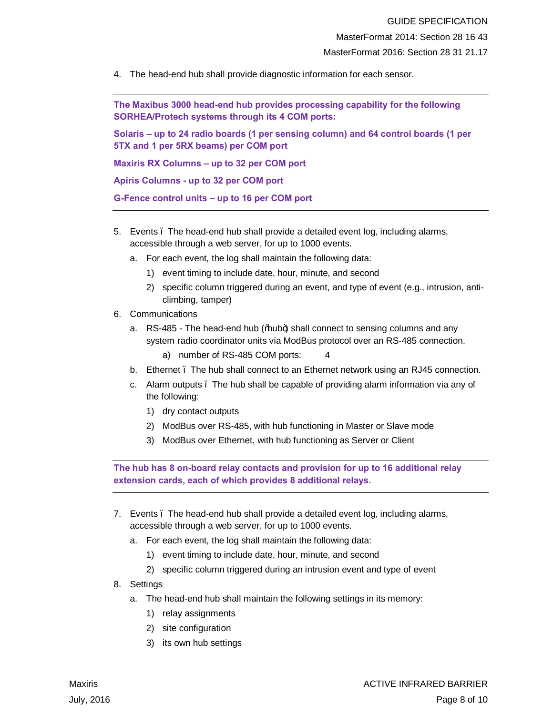4. The head-end hub shall provide diagnostic information for each sensor.

**The Maxibus 3000 head-end hub provides processing capability for the following SORHEA/Protech systems through its 4 COM ports:**

**Solaris – up to 24 radio boards (1 per sensing column) and 64 control boards (1 per 5TX and 1 per 5RX beams) per COM port**

**Maxiris RX Columns – up to 32 per COM port**

**Apiris Columns - up to 32 per COM port**

**G-Fence control units – up to 16 per COM port**

- 5. Events The head-end hub shall provide a detailed event log, including alarms, accessible through a web server, for up to 1000 events.
	- a. For each event, the log shall maintain the following data:
		- 1) event timing to include date, hour, minute, and second
		- 2) specific column triggered during an event, and type of event (e.g., intrusion, anticlimbing, tamper)
- 6. Communications
	- a. RS-485 The head-end hub (‰wb+) shall connect to sensing columns and any system radio coordinator units via ModBus protocol over an RS-485 connection.
		- a) number of RS-485 COM ports: 4
	- b. Ethernet . The hub shall connect to an Ethernet network using an RJ45 connection.
	- c. Alarm outputs The hub shall be capable of providing alarm information via any of the following:
		- 1) dry contact outputs
		- 2) ModBus over RS-485, with hub functioning in Master or Slave mode
		- 3) ModBus over Ethernet, with hub functioning as Server or Client

**The hub has 8 on-board relay contacts and provision for up to 16 additional relay extension cards, each of which provides 8 additional relays.**

- 7. Events The head-end hub shall provide a detailed event log, including alarms, accessible through a web server, for up to 1000 events.
	- a. For each event, the log shall maintain the following data:
		- 1) event timing to include date, hour, minute, and second
		- 2) specific column triggered during an intrusion event and type of event
- 8. Settings
	- a. The head-end hub shall maintain the following settings in its memory:
		- 1) relay assignments
		- 2) site configuration
		- 3) its own hub settings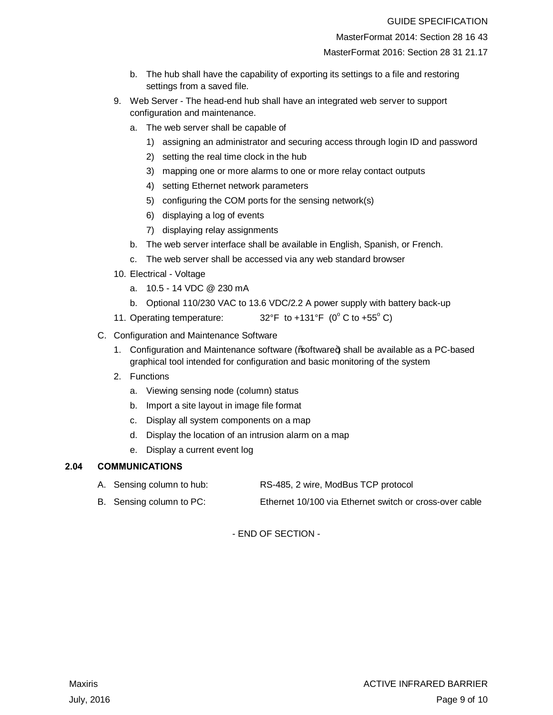MasterFormat 2014: Section 28 16 43

MasterFormat 2016: Section 28 31 21.17

- b. The hub shall have the capability of exporting its settings to a file and restoring settings from a saved file.
- 9. Web Server The head-end hub shall have an integrated web server to support configuration and maintenance.
	- a. The web server shall be capable of
		- 1) assigning an administrator and securing access through login ID and password
		- 2) setting the real time clock in the hub
		- 3) mapping one or more alarms to one or more relay contact outputs
		- 4) setting Ethernet network parameters
		- 5) configuring the COM ports for the sensing network(s)
		- 6) displaying a log of events
		- 7) displaying relay assignments
	- b. The web server interface shall be available in English, Spanish, or French.
	- c. The web server shall be accessed via any web standard browser
- 10. Electrical Voltage
	- a. 10.5 14 VDC @ 230 mA
	- b. Optional 110/230 VAC to 13.6 VDC/2.2 A power supply with battery back-up
- 11. Operating temperature:  $32^{\circ}F$  to +131°F (0° C to +55° C)
- C. Configuration and Maintenance Software
	- 1. Configuration and Maintenance software (‰oftware+) shall be available as a PC-based graphical tool intended for configuration and basic monitoring of the system
	- 2. Functions
		- a. Viewing sensing node (column) status
		- b. Import a site layout in image file format
		- c. Display all system components on a map
		- d. Display the location of an intrusion alarm on a map
		- e. Display a current event log

#### **2.04 COMMUNICATIONS**

- A. Sensing column to hub: RS-485, 2 wire, ModBus TCP protocol
- B. Sensing column to PC: Ethernet 10/100 via Ethernet switch or cross-over cable

- END OF SECTION -